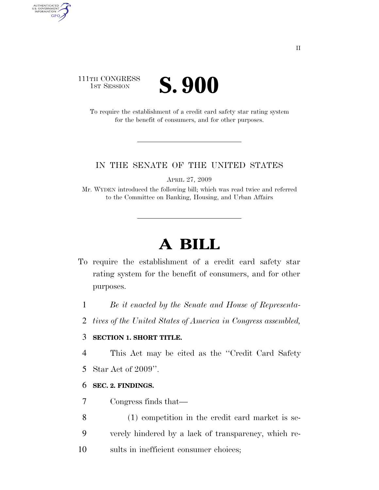# 111TH CONGRESS **IST SESSION S. 900**

AUTHENTICATED<br>U.S. GOVERNMENT<br>INFORMATION

**GPO** 

To require the establishment of a credit card safety star rating system for the benefit of consumers, and for other purposes.

### IN THE SENATE OF THE UNITED STATES

APRIL 27, 2009

Mr. WYDEN introduced the following bill; which was read twice and referred to the Committee on Banking, Housing, and Urban Affairs

# **A BILL**

- To require the establishment of a credit card safety star rating system for the benefit of consumers, and for other purposes.
	- 1 *Be it enacted by the Senate and House of Representa-*
	- 2 *tives of the United States of America in Congress assembled,*

## 3 **SECTION 1. SHORT TITLE.**

4 This Act may be cited as the ''Credit Card Safety

5 Star Act of 2009''.

#### 6 **SEC. 2. FINDINGS.**

- 7 Congress finds that—
- 8 (1) competition in the credit card market is se-9 verely hindered by a lack of transparency, which re-
- 10 sults in inefficient consumer choices;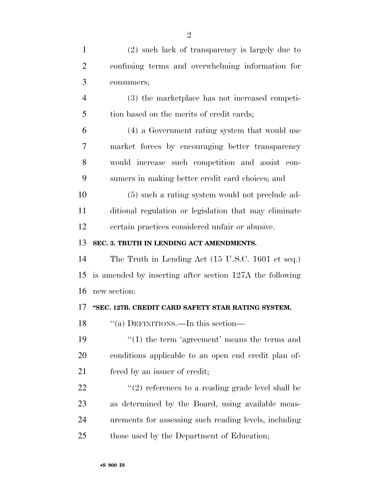| $\mathbf{1}$   | (2) such lack of transparency is largely due to          |
|----------------|----------------------------------------------------------|
| $\overline{2}$ | confusing terms and overwhelming information for         |
| 3              | consumers;                                               |
| $\overline{4}$ | (3) the marketplace has not increased competi-           |
| 5              | tion based on the merits of credit cards;                |
| 6              | (4) a Government rating system that would use            |
| 7              | market forces by encouraging better transparency         |
| 8              | would increase such competition and assist con-          |
| 9              | sumers in making better credit card choices; and         |
| 10             | (5) such a rating system would not preclude ad-          |
| 11             | ditional regulation or legislation that may eliminate    |
| 12             | certain practices considered unfair or abusive.          |
| 13             | SEC. 3. TRUTH IN LENDING ACT AMENDMENTS.                 |
| 14             | The Truth in Lending Act (15 U.S.C. 1601 et seq.)        |
| 15             | is amended by inserting after section 127A the following |
| 16             | new section:                                             |
| 17             | "SEC. 127B. CREDIT CARD SAFETY STAR RATING SYSTEM.       |
| 18             | "(a) DEFINITIONS.—In this section—                       |
| 19             | $\cdot\cdot(1)$ the term 'agreement' means the terms and |
| 20             | conditions applicable to an open end credit plan of-     |
| 21             | fered by an issuer of credit;                            |
| 22             | $\lq(2)$ references to a reading grade level shall be    |
| 23             | as determined by the Board, using available meas-        |
| 24             | urements for assessing such reading levels, including    |
| 25             | those used by the Department of Education;               |
|                |                                                          |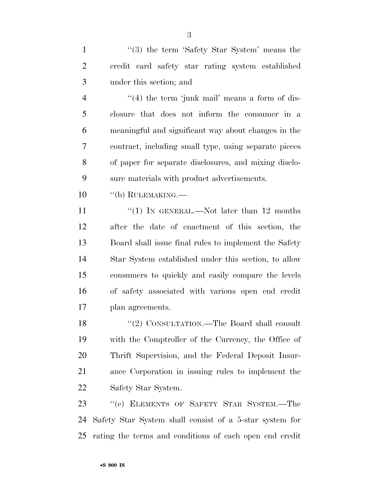1 ''(3) the term 'Safety Star System' means the credit card safety star rating system established under this section; and

4 "(4) the term 'junk mail' means a form of dis- closure that does not inform the consumer in a meaningful and significant way about changes in the contract, including small type, using separate pieces of paper for separate disclosures, and mixing disclo-sure materials with product advertisements.

''(b) RULEMAKING.—

11 ''(1) IN GENERAL.—Not later than 12 months after the date of enactment of this section, the Board shall issue final rules to implement the Safety Star System established under this section, to allow consumers to quickly and easily compare the levels of safety associated with various open end credit plan agreements.

18 "(2) CONSULTATION.—The Board shall consult with the Comptroller of the Currency, the Office of Thrift Supervision, and the Federal Deposit Insur- ance Corporation in issuing rules to implement the Safety Star System.

23 "(c) ELEMENTS OF SAFETY STAR SYSTEM.—The Safety Star System shall consist of a 5-star system for rating the terms and conditions of each open end credit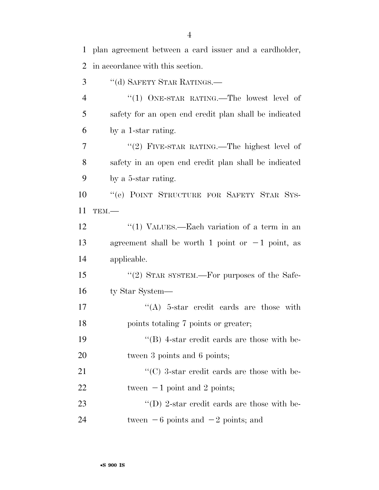1 plan agreement between a card issuer and a cardholder, 2 in accordance with this section. 3 "(d) SAFETY STAR RATINGS.—

4 "(1) ONE-STAR RATING.—The lowest level of 5 safety for an open end credit plan shall be indicated 6 by a 1-star rating. 7 "(2) FIVE-STAR RATING.—The highest level of 8 safety in an open end credit plan shall be indicated 9 by a 5-star rating. 10 ''(e) POINT STRUCTURE FOR SAFETY STAR SYS-11 TEM.— 12 ''(1) VALUES.—Each variation of a term in an 13 agreement shall be worth 1 point or  $-1$  point, as 14 applicable. 15 "(2) STAR SYSTEM.—For purposes of the Safe-16 ty Star System— 17  $((A)$  5-star credit cards are those with 18 points totaling 7 points or greater; 19 ''(B) 4-star credit cards are those with be-20 tween 3 points and 6 points; 21  $\cdot$  (C) 3-star credit cards are those with be-22 tween  $-1$  point and 2 points; 23  $\langle (D) \rangle$  2-star credit cards are those with be-24 tween  $-6$  points and  $-2$  points; and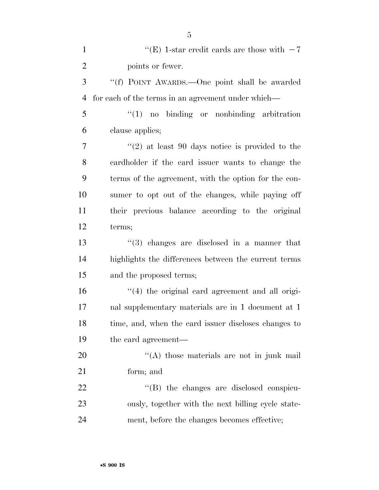| $\mathbf{1}$   | "(E) 1-star credit cards are those with $-7$         |
|----------------|------------------------------------------------------|
| $\overline{2}$ | points or fewer.                                     |
| 3              | "(f) POINT AWARDS.—One point shall be awarded        |
| $\overline{4}$ | for each of the terms in an agreement under which—   |
| 5              | $"(1)$ no binding or nonbinding arbitration          |
| 6              | clause applies;                                      |
| 7              | $(2)$ at least 90 days notice is provided to the     |
| 8              | cardholder if the card issuer wants to change the    |
| 9              | terms of the agreement, with the option for the con- |
| 10             | sumer to opt out of the changes, while paying off    |
| 11             | their previous balance according to the original     |
| 12             | terms;                                               |
| 13             | $(3)$ changes are disclosed in a manner that         |
| 14             | highlights the differences between the current terms |
| 15             | and the proposed terms;                              |
| 16             | $\lq(4)$ the original card agreement and all origi-  |
| 17             | nal supplementary materials are in 1 document at 1   |
| 18             | time, and, when the card issuer discloses changes to |
| 19             | the card agreement—                                  |
| 20             | "(A) those materials are not in junk mail            |
| 21             | form; and                                            |
| 22             | $\lq\lq$ the changes are disclosed conspicu-         |
| 23             | ously, together with the next billing cycle state-   |
| 24             | ment, before the changes becomes effective;          |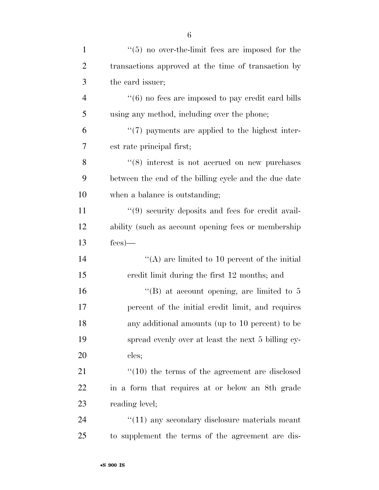| $\mathbf{1}$   | $\cdot$ (5) no over-the-limit fees are imposed for the    |
|----------------|-----------------------------------------------------------|
| $\overline{c}$ | transactions approved at the time of transaction by       |
| 3              | the card issuer;                                          |
| $\overline{4}$ | $``(6)$ no fees are imposed to pay credit card bills      |
| 5              | using any method, including over the phone;               |
| 6              | $\lq(7)$ payments are applied to the highest inter-       |
| 7              | est rate principal first;                                 |
| 8              | $(8)$ interest is not accrued on new purchases            |
| 9              | between the end of the billing cycle and the due date     |
| 10             | when a balance is outstanding;                            |
| 11             | $\lq(9)$ security deposits and fees for credit avail-     |
| 12             | ability (such as account opening fees or membership       |
| 13             | $fees$ )—                                                 |
| 14             | $\lq\lq$ are limited to 10 percent of the initial         |
| 15             | credit limit during the first 12 months; and              |
| 16             | "(B) at account opening, are limited to $5$               |
| 17             | percent of the initial credit limit, and requires         |
| 18             | any additional amounts (up to 10 percent) to be           |
| 19             | spread evenly over at least the next 5 billing cy-        |
| 20             | cles;                                                     |
| 21             | $\cdot$ (10) the terms of the agreement are disclosed     |
| 22             | in a form that requires at or below an 8th grade          |
| 23             | reading level;                                            |
| 24             | $\cdot\cdot(11)$ any secondary disclosure materials meant |
| 25             | to supplement the terms of the agreement are dis-         |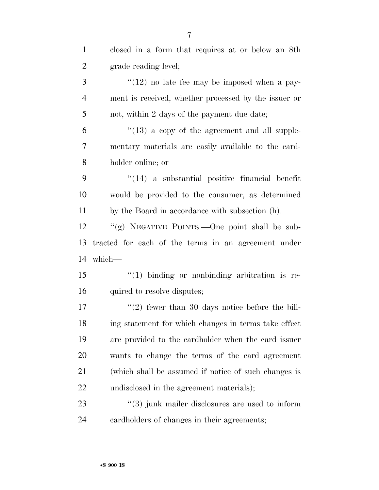| $\mathbf{1}$   | closed in a form that requires at or below an 8th           |
|----------------|-------------------------------------------------------------|
| $\overline{2}$ | grade reading level;                                        |
| 3              | $\lq(12)$ no late fee may be imposed when a pay-            |
| $\overline{4}$ | ment is received, whether processed by the issuer or        |
| 5              | not, within 2 days of the payment due date;                 |
| 6              | $\degree$ (13) a copy of the agreement and all supple-      |
| 7              | mentary materials are easily available to the card-         |
| 8              | holder online; or                                           |
| 9              | $\cdot$ (14) a substantial positive financial benefit       |
| 10             | would be provided to the consumer, as determined            |
| 11             | by the Board in accordance with subsection (h).             |
| 12             | "(g) NEGATIVE POINTS.—One point shall be sub-               |
|                |                                                             |
| 13             | tracted for each of the terms in an agreement under         |
| 14             | which-                                                      |
| 15             | $"(1)$ binding or nonbinding arbitration is re-             |
| 16             | quired to resolve disputes;                                 |
| 17             | $\lq(2)$ fewer than 30 days notice before the bill-         |
| 18             | ing statement for which changes in terms take effect        |
| 19             | are provided to the cardholder when the card issuer         |
| 20             | wants to change the terms of the card agreement             |
| 21             | (which shall be assumed if notice of such changes is        |
| 22             | undisclosed in the agreement materials);                    |
| 23             | $\cdot\cdot$ (3) junk mailer disclosures are used to inform |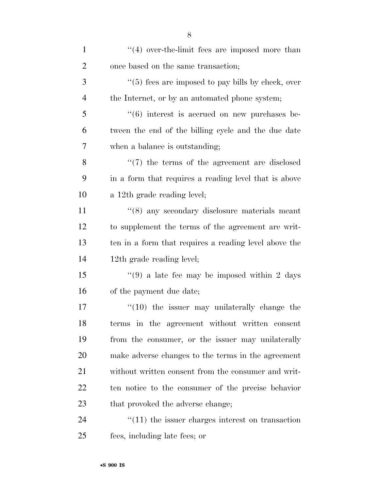| $\mathbf{1}$   | $(4)$ over-the-limit fees are imposed more than               |
|----------------|---------------------------------------------------------------|
| $\overline{2}$ | once based on the same transaction;                           |
| 3              | $\lq(5)$ fees are imposed to pay bills by check, over         |
| $\overline{4}$ | the Internet, or by an automated phone system;                |
| 5              | $\cdot\cdot\cdot(6)$ interest is accrued on new purchases be- |
| 6              | tween the end of the billing cycle and the due date           |
| 7              | when a balance is outstanding;                                |
| 8              | $\lq(7)$ the terms of the agreement are disclosed             |
| 9              | in a form that requires a reading level that is above         |
| 10             | a 12th grade reading level;                                   |
| 11             | $\cdot$ (8) any secondary disclosure materials meant          |
| 12             | to supplement the terms of the agreement are writ-            |
| 13             | ten in a form that requires a reading level above the         |
| 14             | 12th grade reading level;                                     |
| 15             | $\cdot\cdot\cdot(9)$ a late fee may be imposed within 2 days  |
| 16             | of the payment due date;                                      |
| 17             | $\degree$ (10) the issuer may unilaterally change the         |
| 18             | terms in the agreement without written consent                |
| 19             | from the consumer, or the issuer may unilaterally             |
| 20             | make adverse changes to the terms in the agreement            |
| 21             | without written consent from the consumer and writ-           |
| 22             | ten notice to the consumer of the precise behavior            |
| 23             | that provoked the adverse change;                             |
| 24             | $"(11)$ the issuer charges interest on transaction            |
| 25             | fees, including late fees; or                                 |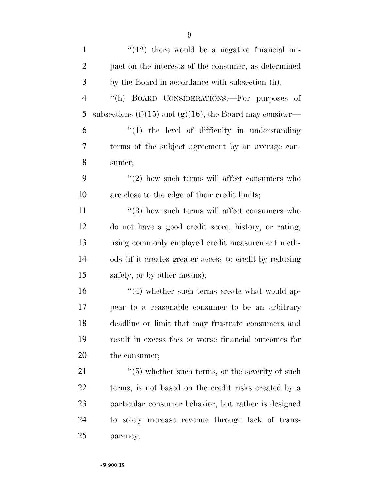| $\mathbf{1}$   | $\lq(12)$ there would be a negative financial im-        |
|----------------|----------------------------------------------------------|
| $\overline{2}$ | pact on the interests of the consumer, as determined     |
| 3              | by the Board in accordance with subsection (h).          |
| $\overline{4}$ | "(h) BOARD CONSIDERATIONS.—For purposes of               |
| 5              | subsections (f)(15) and (g)(16), the Board may consider— |
| 6              | $\lq(1)$ the level of difficulty in understanding        |
| 7              | terms of the subject agreement by an average con-        |
| 8              | sumer;                                                   |
| 9              | $\lq(2)$ how such terms will affect consumers who        |
| 10             | are close to the edge of their credit limits;            |
| 11             | $\lq(3)$ how such terms will affect consumers who        |
| 12             | do not have a good credit score, history, or rating,     |
| 13             | using commonly employed credit measurement meth-         |
| 14             | ods (if it creates greater access to credit by reducing  |
| 15             | safety, or by other means);                              |
| 16             | $\cdot$ (4) whether such terms create what would ap-     |
| 17             | pear to a reasonable consumer to be an arbitrary         |
| 18             | deadline or limit that may frustrate consumers and       |
| 19             | result in excess fees or worse financial outcomes for    |
| <b>20</b>      | the consumer;                                            |
| 21             | $\cdot$ (5) whether such terms, or the severity of such  |
| 22             | terms, is not based on the credit risks created by a     |
| 23             | particular consumer behavior, but rather is designed     |
| 24             | to solely increase revenue through lack of trans-        |
| 25             | parency;                                                 |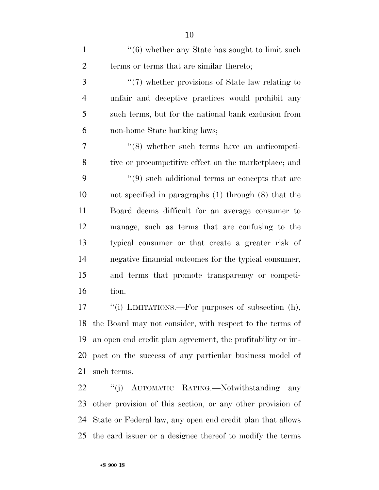| $\mathbf{1}$   | $"(6)$ whether any State has sought to limit such        |
|----------------|----------------------------------------------------------|
| $\overline{2}$ | terms or terms that are similar thereto;                 |
| 3              | $\lq(7)$ whether provisions of State law relating to     |
| $\overline{4}$ | unfair and deceptive practices would prohibit any        |
| 5              | such terms, but for the national bank exclusion from     |
| 6              | non-home State banking laws;                             |
| $\overline{7}$ | $\cdot\cdot$ (8) whether such terms have an anticompeti- |
| 8              | tive or procompetitive effect on the marketplace; and    |
| 9              | $\lq(9)$ such additional terms or concepts that are      |
| 10             | not specified in paragraphs $(1)$ through $(8)$ that the |
| 11             | Board deems difficult for an average consumer to         |
| 12             | manage, such as terms that are confusing to the          |
| 13             | typical consumer or that create a greater risk of        |
| 14             | negative financial outcomes for the typical consumer,    |
| 15             | and terms that promote transparency or competi-          |
| 16             | tion.                                                    |
| 17             | "(i) LIMITATIONS.—For purposes of subsection (h),        |
| 18             | the Board may not consider, with respect to the terms of |
|                |                                                          |

 an open end credit plan agreement, the profitability or im- pact on the success of any particular business model of such terms.

 ''(j) AUTOMATIC RATING.—Notwithstanding any other provision of this section, or any other provision of State or Federal law, any open end credit plan that allows the card issuer or a designee thereof to modify the terms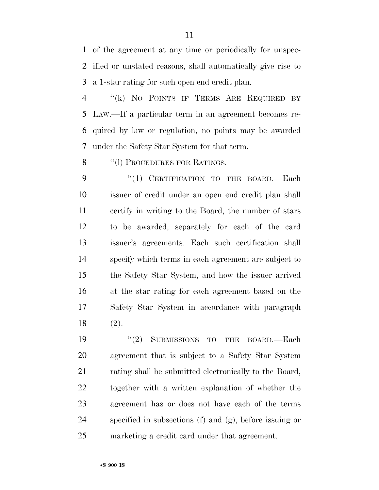of the agreement at any time or periodically for unspec- ified or unstated reasons, shall automatically give rise to a 1-star rating for such open end credit plan.

 ''(k) NO POINTS IF TERMS ARE REQUIRED BY LAW.—If a particular term in an agreement becomes re- quired by law or regulation, no points may be awarded under the Safety Star System for that term.

8 "(1) PROCEDURES FOR RATINGS.—

9 "(1) CERTIFICATION TO THE BOARD.—Each issuer of credit under an open end credit plan shall certify in writing to the Board, the number of stars to be awarded, separately for each of the card issuer's agreements. Each such certification shall specify which terms in each agreement are subject to the Safety Star System, and how the issuer arrived at the star rating for each agreement based on the Safety Star System in accordance with paragraph (2).

19 "(2) SUBMISSIONS TO THE BOARD.—Each agreement that is subject to a Safety Star System 21 rating shall be submitted electronically to the Board, together with a written explanation of whether the agreement has or does not have each of the terms specified in subsections (f) and (g), before issuing or marketing a credit card under that agreement.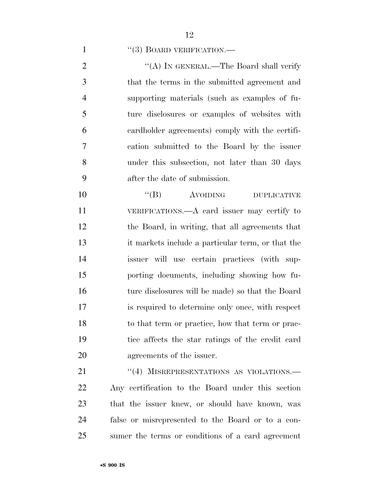### 1  $((3)$  BOARD VERIFICATION.

2 "(A) IN GENERAL.—The Board shall verify that the terms in the submitted agreement and supporting materials (such as examples of fu- ture disclosures or examples of websites with cardholder agreements) comply with the certifi- cation submitted to the Board by the issuer under this subsection, not later than 30 days after the date of submission.

 $((B)$  AVOIDING DUPLICATIVE VERIFICATIONS.—A card issuer may certify to the Board, in writing, that all agreements that it markets include a particular term, or that the issuer will use certain practices (with sup- porting documents, including showing how fu- ture disclosures will be made) so that the Board is required to determine only once, with respect to that term or practice, how that term or prac- tice affects the star ratings of the credit card agreements of the issuer.

21 "(4) MISREPRESENTATIONS AS VIOLATIONS. Any certification to the Board under this section that the issuer knew, or should have known, was false or misrepresented to the Board or to a con-sumer the terms or conditions of a card agreement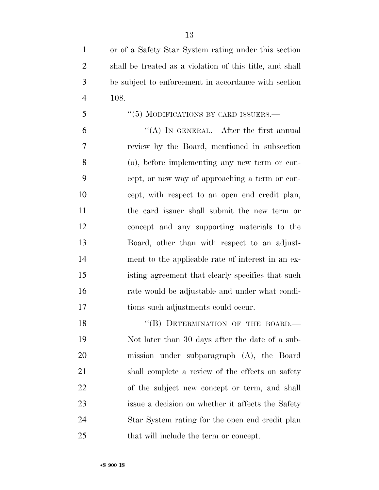- or of a Safety Star System rating under this section shall be treated as a violation of this title, and shall be subject to enforcement in accordance with section 108.
- 5 "(5) MODIFICATIONS BY CARD ISSUERS.—

 $"$ (A) In GENERAL.—After the first annual review by the Board, mentioned in subsection (o), before implementing any new term or con- cept, or new way of approaching a term or con- cept, with respect to an open end credit plan, the card issuer shall submit the new term or concept and any supporting materials to the Board, other than with respect to an adjust- ment to the applicable rate of interest in an ex- isting agreement that clearly specifies that such rate would be adjustable and under what condi-tions such adjustments could occur.

18 "(B) DETERMINATION OF THE BOARD.— Not later than 30 days after the date of a sub- mission under subparagraph (A), the Board 21 shall complete a review of the effects on safety of the subject new concept or term, and shall issue a decision on whether it affects the Safety Star System rating for the open end credit plan that will include the term or concept.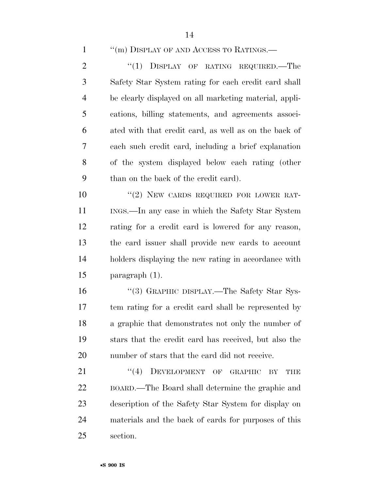1 ''(m) DISPLAY OF AND ACCESS TO RATINGS.—

2 "(1) DISPLAY OF RATING REQUIRED.—The Safety Star System rating for each credit card shall be clearly displayed on all marketing material, appli- cations, billing statements, and agreements associ- ated with that credit card, as well as on the back of each such credit card, including a brief explanation of the system displayed below each rating (other than on the back of the credit card).

 $(2)$  NEW CARDS REQUIRED FOR LOWER RAT-11 INGS.—In any case in which the Safety Star System rating for a credit card is lowered for any reason, the card issuer shall provide new cards to account holders displaying the new rating in accordance with paragraph (1).

16 "(3) GRAPHIC DISPLAY.—The Safety Star Sys- tem rating for a credit card shall be represented by a graphic that demonstrates not only the number of stars that the credit card has received, but also the number of stars that the card did not receive.

21 "(4) DEVELOPMENT OF GRAPHIC BY THE BOARD.—The Board shall determine the graphic and description of the Safety Star System for display on materials and the back of cards for purposes of this section.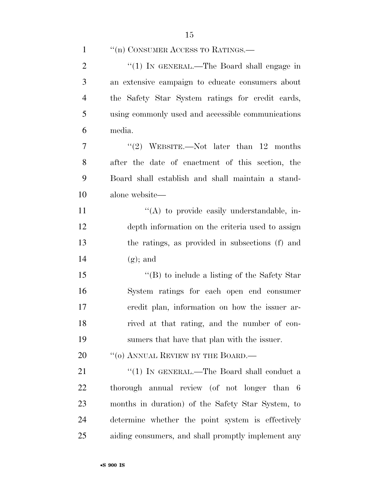| $\mathbf{1}$   | "(n) CONSUMER ACCESS TO RATINGS.—                  |
|----------------|----------------------------------------------------|
| $\overline{2}$ | "(1) IN GENERAL.—The Board shall engage in         |
| 3              | an extensive campaign to educate consumers about   |
| $\overline{4}$ | the Safety Star System ratings for credit cards,   |
| 5              | using commonly used and accessible communications  |
| 6              | media.                                             |
| 7              | "(2) WEBSITE.—Not later than $12$ months           |
| 8              | after the date of enactment of this section, the   |
| 9              | Board shall establish and shall maintain a stand-  |
| 10             | alone website—                                     |
| 11             | $\lq\lq$ to provide easily understandable, in-     |
| 12             | depth information on the criteria used to assign   |
| 13             | the ratings, as provided in subsections (f) and    |
| 14             | $(g)$ ; and                                        |
| 15             | "(B) to include a listing of the Safety Star       |
| 16             | System ratings for each open end consumer          |
| 17             | eredit plan, information on how the issuer ar-     |
| 18             | rived at that rating, and the number of con-       |
| 19             | sumers that have that plan with the issuer.        |
| 20             | "(0) ANNUAL REVIEW BY THE BOARD.—                  |
| 21             | "(1) IN GENERAL.—The Board shall conduct a         |
| 22             | thorough annual review (of not longer than 6       |
| 23             | months in duration) of the Safety Star System, to  |
| 24             | determine whether the point system is effectively  |
| 25             | aiding consumers, and shall promptly implement any |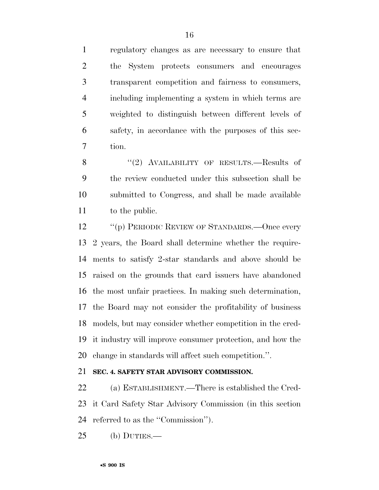regulatory changes as are necessary to ensure that the System protects consumers and encourages transparent competition and fairness to consumers, including implementing a system in which terms are weighted to distinguish between different levels of safety, in accordance with the purposes of this sec-tion.

8 "(2) AVAILABILITY OF RESULTS.—Results of the review conducted under this subsection shall be submitted to Congress, and shall be made available to the public.

12 "(p) PERIODIC REVIEW OF STANDARDS.—Once every 2 years, the Board shall determine whether the require- ments to satisfy 2-star standards and above should be raised on the grounds that card issuers have abandoned the most unfair practices. In making such determination, the Board may not consider the profitability of business models, but may consider whether competition in the cred- it industry will improve consumer protection, and how the change in standards will affect such competition.''.

# **SEC. 4. SAFETY STAR ADVISORY COMMISSION.**

 (a) ESTABLISHMENT.—There is established the Cred- it Card Safety Star Advisory Commission (in this section referred to as the ''Commission'').

(b) DUTIES.—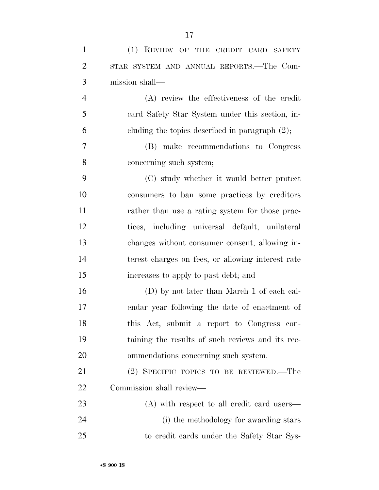| $\mathbf{1}$   | (1) REVIEW OF THE CREDIT CARD SAFETY              |
|----------------|---------------------------------------------------|
| $\overline{2}$ | STAR SYSTEM AND ANNUAL REPORTS.—The Com-          |
| 3              | mission shall—                                    |
| $\overline{4}$ | (A) review the effectiveness of the credit        |
| 5              | eard Safety Star System under this section, in-   |
| 6              | cluding the topics described in paragraph $(2)$ ; |
| $\overline{7}$ | (B) make recommendations to Congress              |
| 8              | concerning such system;                           |
| 9              | (C) study whether it would better protect         |
| 10             | consumers to ban some practices by creditors      |
| 11             | rather than use a rating system for those prac-   |
| 12             | tices, including universal default, unilateral    |
| 13             | changes without consumer consent, allowing in-    |
| 14             | terest charges on fees, or allowing interest rate |
| 15             | increases to apply to past debt; and              |
| 16             | (D) by not later than March 1 of each cal-        |
| 17             | endar year following the date of enactment of     |
| 18             | this Act, submit a report to Congress con-        |
| 19             | taining the results of such reviews and its rec-  |
| 20             | ommendations concerning such system.              |
| 21             | (2) SPECIFIC TOPICS TO BE REVIEWED.—The           |
| 22             | Commission shall review—                          |
| 23             | $(A)$ with respect to all credit card users—      |
| 24             | (i) the methodology for awarding stars            |
| 25             | to credit cards under the Safety Star Sys-        |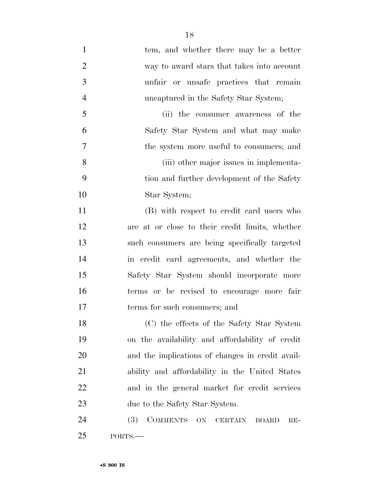1 tem, and whether there may be a better way to award stars that takes into account unfair or unsafe practices that remain uncaptured in the Safety Star System; (ii) the consumer awareness of the Safety Star System and what may make the system more useful to consumers; and (iii) other major issues in implementa- tion and further development of the Safety Star System; (B) with respect to credit card users who are at or close to their credit limits, whether such consumers are being specifically targeted in credit card agreements, and whether the Safety Star System should incorporate more terms or be revised to encourage more fair terms for such consumers; and

 (C) the effects of the Safety Star System on the availability and affordability of credit and the implications of changes in credit avail- ability and affordability in the United States and in the general market for credit services 23 due to the Safety Star System.

24 (3) COMMENTS ON CERTAIN BOARD RE-PORTS.—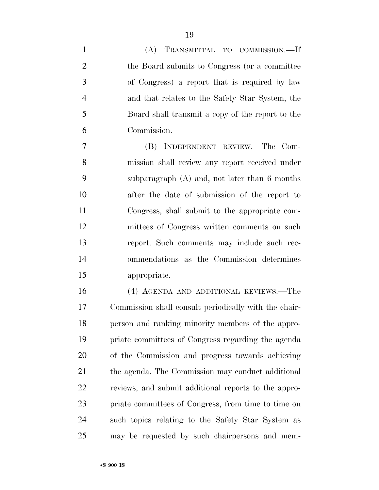| $\mathbf{1}$   | (A) TRANSMITTAL TO COMMISSION.-If                |
|----------------|--------------------------------------------------|
| $\overline{2}$ | the Board submits to Congress (or a committee    |
| 3              | of Congress) a report that is required by law    |
| $\overline{4}$ | and that relates to the Safety Star System, the  |
| 5              | Board shall transmit a copy of the report to the |
| 6              | Commission.                                      |
| $\overline{7}$ | (B) INDEPENDENT REVIEW.—The Com-                 |
| 8              | mission shall review any report received under   |
| 9              | subparagraph $(A)$ and, not later than 6 months  |
| 10             | after the date of submission of the report to    |
| 11             | Congress, shall submit to the appropriate com-   |
| 12             | mittees of Congress written comments on such     |
| 13             | report. Such comments may include such rec-      |
| 14             | ommendations as the Commission determines        |
| 15             | appropriate.                                     |
| 16             | (4) AGENDA AND ADDITIONAL REVIEWS.—The           |

 Commission shall consult periodically with the chair- person and ranking minority members of the appro- priate committees of Congress regarding the agenda of the Commission and progress towards achieving the agenda. The Commission may conduct additional reviews, and submit additional reports to the appro- priate committees of Congress, from time to time on such topics relating to the Safety Star System as may be requested by such chairpersons and mem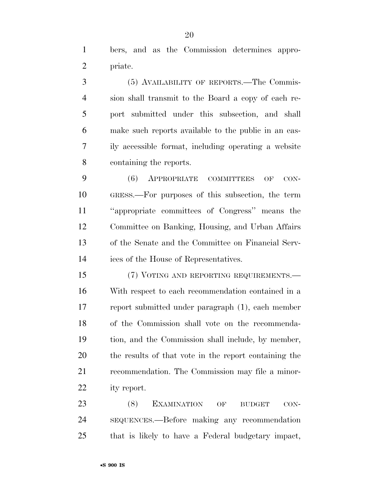bers, and as the Commission determines appro-priate.

 (5) AVAILABILITY OF REPORTS.—The Commis- sion shall transmit to the Board a copy of each re- port submitted under this subsection, and shall make such reports available to the public in an eas- ily accessible format, including operating a website containing the reports.

 (6) APPROPRIATE COMMITTEES OF CON- GRESS.—For purposes of this subsection, the term ''appropriate committees of Congress'' means the Committee on Banking, Housing, and Urban Affairs of the Senate and the Committee on Financial Serv-ices of the House of Representatives.

 (7) VOTING AND REPORTING REQUIREMENTS.— With respect to each recommendation contained in a report submitted under paragraph (1), each member of the Commission shall vote on the recommenda- tion, and the Commission shall include, by member, the results of that vote in the report containing the recommendation. The Commission may file a minor-ity report.

23 (8) EXAMINATION OF BUDGET CON- SEQUENCES.—Before making any recommendation that is likely to have a Federal budgetary impact,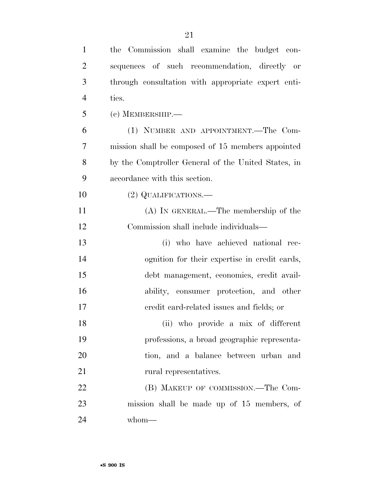| $\mathbf{1}$   | the Commission shall examine the budget con-        |
|----------------|-----------------------------------------------------|
| $\overline{2}$ | sequences of such recommendation, directly or       |
| 3              | through consultation with appropriate expert enti-  |
| $\overline{4}$ | ties.                                               |
| 5              | $(c)$ MEMBERSHIP.—                                  |
| 6              | (1) NUMBER AND APPOINTMENT.—The Com-                |
| 7              | mission shall be composed of 15 members appointed   |
| 8              | by the Comptroller General of the United States, in |
| 9              | accordance with this section.                       |
| 10             | (2) QUALIFICATIONS.—                                |
| 11             | $(A)$ In GENERAL.—The membership of the             |
| 12             | Commission shall include individuals—               |
| 13             | (i) who have achieved national rec-                 |
| 14             | ognition for their expertise in credit cards,       |
| 15             | debt management, economics, credit avail-           |
| 16             | ability, consumer protection, and other             |
| 17             | eredit card-related issues and fields; or           |
| 18             | (ii) who provide a mix of different                 |
| 19             | professions, a broad geographic representa-         |
| 20             | tion, and a balance between urban and               |
| 21             | rural representatives.                              |
| 22             | (B) MAKEUP OF COMMISSION.—The Com-                  |
| 23             | mission shall be made up of 15 members, of          |
| 24             | whom-                                               |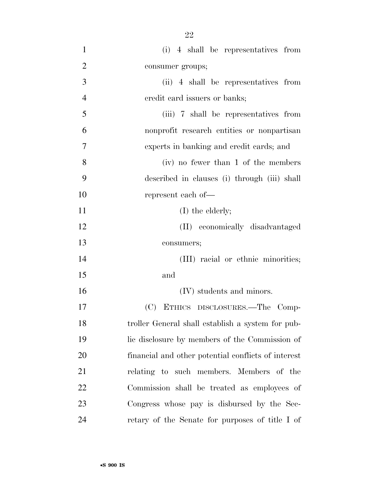| $\mathbf{1}$   | (i) 4 shall be representatives from                 |
|----------------|-----------------------------------------------------|
| $\overline{2}$ | consumer groups;                                    |
| 3              | (ii) 4 shall be representatives from                |
| $\overline{4}$ | eredit card issuers or banks;                       |
| 5              | (iii) 7 shall be representatives from               |
| 6              | nonprofit research entities or nonpartisan          |
| 7              | experts in banking and credit cards; and            |
| 8              | (iv) no fewer than 1 of the members                 |
| 9              | described in clauses (i) through (iii) shall        |
| 10             | represent each of—                                  |
| 11             | $(I)$ the elderly;                                  |
| 12             | (II) economically disadvantaged                     |
| 13             | consumers;                                          |
| 14             | (III) racial or ethnic minorities;                  |
| 15             | and                                                 |
| 16             | (IV) students and minors.                           |
| 17             | (C) ETHICS DISCLOSURES.-The Comp-                   |
| 18             | troller General shall establish a system for pub-   |
| 19             | lic disclosure by members of the Commission of      |
| 20             | financial and other potential conflicts of interest |
| 21             | relating to such members. Members of the            |
| 22             | Commission shall be treated as employees of         |
| 23             | Congress whose pay is disbursed by the Sec-         |
| 24             | retary of the Senate for purposes of title I of     |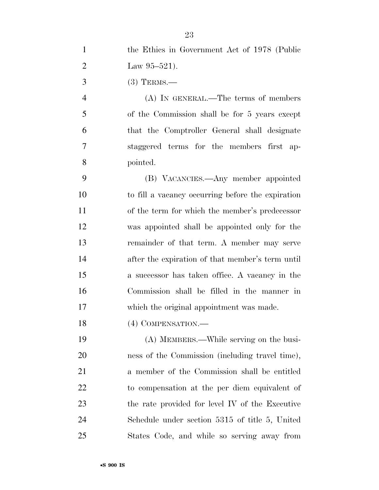the Ethics in Government Act of 1978 (Public

| $\overline{2}$ | Law $95-521$ .                                    |
|----------------|---------------------------------------------------|
| 3              | $(3)$ TERMS.—                                     |
| $\overline{4}$ | $(A)$ In GENERAL.—The terms of members            |
| 5              | of the Commission shall be for 5 years except     |
| 6              | that the Comptroller General shall designate      |
| 7              | staggered terms for the members first ap-         |
| 8              | pointed.                                          |
| 9              | (B) VACANCIES.—Any member appointed               |
| 10             | to fill a vacancy occurring before the expiration |
| 11             | of the term for which the member's predecessor    |
| 12             | was appointed shall be appointed only for the     |
| 13             | remainder of that term. A member may serve        |
| 14             | after the expiration of that member's term until  |
| 15             | a successor has taken office. A vacancy in the    |
| 16             | Commission shall be filled in the manner in       |
| 17             | which the original appointment was made.          |
| 18             | (4) COMPENSATION.—                                |
| 19             | (A) MEMBERS.—While serving on the busi-           |
| 20             | ness of the Commission (including travel time),   |
| 21             | a member of the Commission shall be entitled      |
| 22             | to compensation at the per diem equivalent of     |
| 23             | the rate provided for level IV of the Executive   |
| 24             | Schedule under section 5315 of title 5, United    |
| 25             | States Code, and while so serving away from       |
|                |                                                   |
|                |                                                   |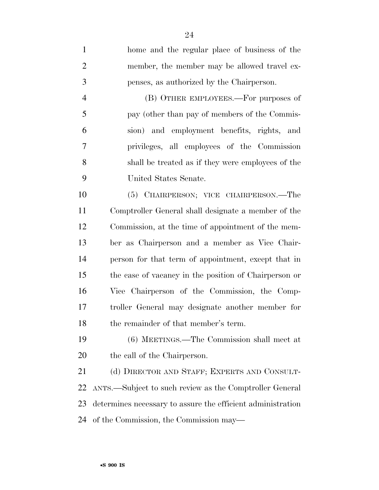home and the regular place of business of the member, the member may be allowed travel ex- penses, as authorized by the Chairperson. (B) OTHER EMPLOYEES.—For purposes of pay (other than pay of members of the Commis- sion) and employment benefits, rights, and privileges, all employees of the Commission shall be treated as if they were employees of the United States Senate. (5) CHAIRPERSON; VICE CHAIRPERSON.—The Comptroller General shall designate a member of the Commission, at the time of appointment of the mem- ber as Chairperson and a member as Vice Chair- person for that term of appointment, except that in the case of vacancy in the position of Chairperson or Vice Chairperson of the Commission, the Comp- troller General may designate another member for 18 the remainder of that member's term.

 (6) MEETINGS.—The Commission shall meet at the call of the Chairperson.

21 (d) DIRECTOR AND STAFF; EXPERTS AND CONSULT- ANTS.—Subject to such review as the Comptroller General determines necessary to assure the efficient administration of the Commission, the Commission may—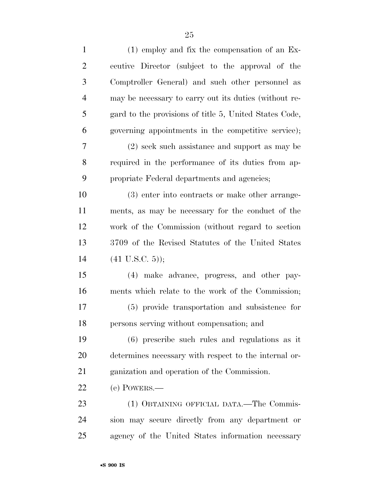| $\mathbf{1}$   | $(1)$ employ and fix the compensation of an Ex-        |
|----------------|--------------------------------------------------------|
| $\overline{2}$ | ecutive Director (subject to the approval of the       |
| 3              | Comptroller General) and such other personnel as       |
| $\overline{4}$ | may be necessary to carry out its duties (without re-  |
| 5              | gard to the provisions of title 5, United States Code, |
| 6              | governing appointments in the competitive service);    |
| 7              | (2) seek such assistance and support as may be         |
| 8              | required in the performance of its duties from ap-     |
| 9              | propriate Federal departments and agencies;            |
| 10             | (3) enter into contracts or make other arrange-        |
| 11             | ments, as may be necessary for the conduct of the      |
| 12             | work of the Commission (without regard to section      |
| 13             | 3709 of the Revised Statutes of the United States      |
| 14             | $(41 \text{ U.S.C. } 5)$ ;                             |
| 15             | (4) make advance, progress, and other pay-             |
| 16             | ments which relate to the work of the Commission;      |
| 17             | (5) provide transportation and subsistence for         |
| 18             | persons serving without compensation; and              |
| 19             | $(6)$ prescribe such rules and regulations as it       |
| 20             | determines necessary with respect to the internal or-  |
| 21             | ganization and operation of the Commission.            |
| 22             | (e) POWERS.—                                           |
| 23             | (1) OBTAINING OFFICIAL DATA.—The Commis-               |
| 24             | sion may secure directly from any department or        |
| 25             | agency of the United States information necessary      |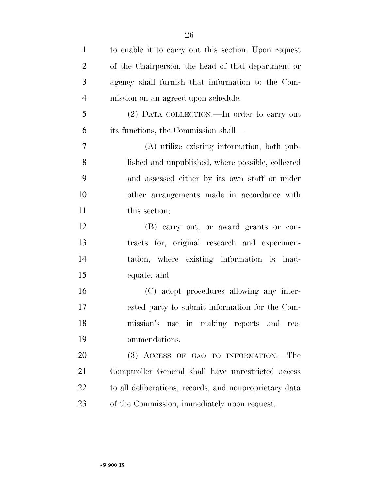| $\mathbf{1}$   | to enable it to carry out this section. Upon request   |
|----------------|--------------------------------------------------------|
| $\overline{2}$ | of the Chairperson, the head of that department or     |
| 3              | agency shall furnish that information to the Com-      |
| $\overline{4}$ | mission on an agreed upon schedule.                    |
| 5              | (2) DATA COLLECTION.—In order to carry out             |
| 6              | its functions, the Commission shall—                   |
| $\tau$         | (A) utilize existing information, both pub-            |
| 8              | lished and unpublished, where possible, collected      |
| 9              | and assessed either by its own staff or under          |
| 10             | other arrangements made in accordance with             |
| 11             | this section;                                          |
| 12             | (B) carry out, or award grants or con-                 |
| 13             | tracts for, original research and experimen-           |
| 14             | tation, where existing information is inad-            |
| 15             | equate; and                                            |
| 16             | (C) adopt procedures allowing any inter-               |
| 17             | ested party to submit information for the Com-         |
| 18             | mission's use in making reports and<br>rec-            |
| 19             | ommendations.                                          |
| 20             | (3) ACCESS OF GAO TO INFORMATION.—The                  |
| 21             | Comptroller General shall have unrestricted access     |
| 22             | to all deliberations, records, and nonproprietary data |
| 23             | of the Commission, immediately upon request.           |